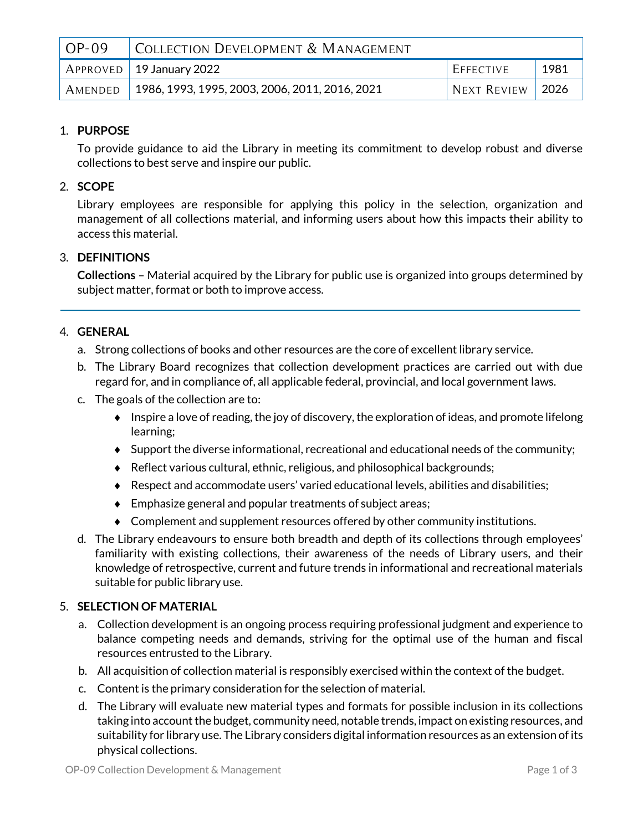| $OP-09$ | COLLECTION DEVELOPMENT & MANAGEMENT            |                    |                 |
|---------|------------------------------------------------|--------------------|-----------------|
|         | $^{\prime}$ APPROVED   19 January 2022         | EFFECTIVE          | 1981            |
| AMENDED | 1986, 1993, 1995, 2003, 2006, 2011, 2016, 2021 | <b>NEXT REVIEW</b> | $^{\circ}$ 2026 |

## 1. **PURPOSE**

To provide guidance to aid the Library in meeting its commitment to develop robust and diverse collections to best serve and inspire our public.

## 2. **SCOPE**

Library employees are responsible for applying this policy in the selection, organization and management of all collections material, and informing users about how this impacts their ability to access this material.

### 3. **DEFINITIONS**

**Collections** – Material acquired by the Library for public use is organized into groups determined by subject matter, format or both to improve access.

#### 4. **GENERAL**

- a. Strong collections of books and other resources are the core of excellent library service.
- b. The Library Board recognizes that collection development practices are carried out with due regard for, and in compliance of, all applicable federal, provincial, and local government laws.
- c. The goals of the collection are to:
	- $\bullet$  Inspire a love of reading, the joy of discovery, the exploration of ideas, and promote lifelong learning;
	- Support the diverse informational, recreational and educational needs of the community;
	- Reflect various cultural, ethnic, religious, and philosophical backgrounds;
	- $\triangle$  Respect and accommodate users' varied educational levels, abilities and disabilities;
	- Emphasize general and popular treatments of subject areas;
	- Complement and supplement resources offered by other community institutions.
- d. The Library endeavours to ensure both breadth and depth of its collections through employees' familiarity with existing collections, their awareness of the needs of Library users, and their knowledge of retrospective, current and future trends in informational and recreational materials suitable for public library use.

#### 5. **SELECTION OF MATERIAL**

- a. Collection development is an ongoing process requiring professional judgment and experience to balance competing needs and demands, striving for the optimal use of the human and fiscal resources entrusted to the Library.
- b. All acquisition of collection material is responsibly exercised within the context of the budget.
- c. Content is the primary consideration for the selection of material.
- d. The Library will evaluate new material types and formats for possible inclusion in its collections taking into account the budget, community need, notable trends, impact on existing resources, and suitability for library use. The Library considers digital information resources as an extension of its physical collections.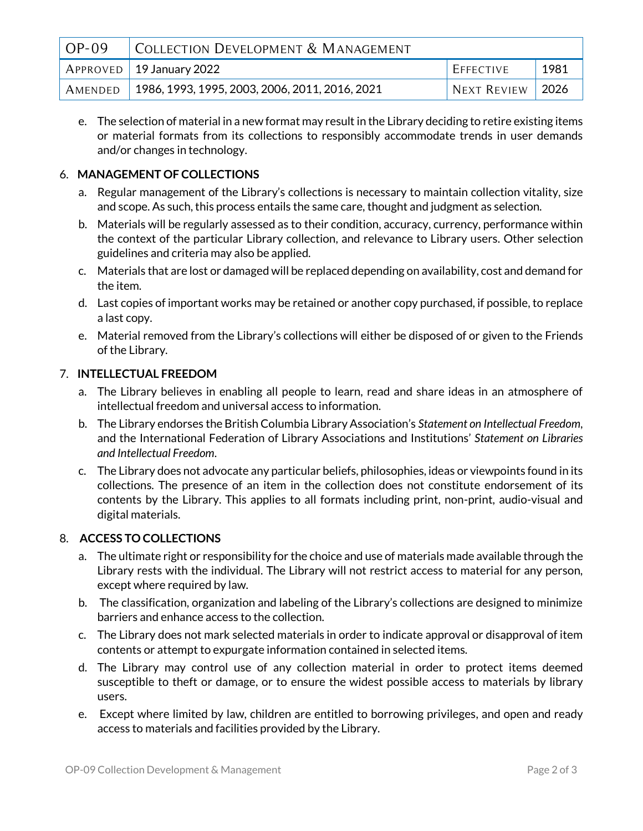| $OP-09$ | COLLECTION DEVELOPMENT & MANAGEMENT            |                  |              |
|---------|------------------------------------------------|------------------|--------------|
|         | $'$ APPROVED $\mid$ 19 January 2022            | <b>EFFECTIVE</b> | 1981         |
| AMENDED | 1986, 1993, 1995, 2003, 2006, 2011, 2016, 2021 | NEXT REVIEW      | $\vert$ 2026 |

e. The selection of material in a new format may result in the Library deciding to retire existing items or material formats from its collections to responsibly accommodate trends in user demands and/or changes in technology.

## 6. **MANAGEMENT OF COLLECTIONS**

- a. Regular management of the Library's collections is necessary to maintain collection vitality, size and scope. As such, this process entails the same care, thought and judgment as selection.
- b. Materials will be regularly assessed as to their condition, accuracy, currency, performance within the context of the particular Library collection, and relevance to Library users. Other selection guidelines and criteria may also be applied.
- c. Materials that are lost or damaged will be replaced depending on availability, cost and demand for the item.
- d. Last copies of important works may be retained or another copy purchased, if possible, to replace a last copy.
- e. Material removed from the Library's collections will either be disposed of or given to the Friends of the Library.

### 7. **INTELLECTUAL FREEDOM**

- a. The Library believes in enabling all people to learn, read and share ideas in an atmosphere of intellectual freedom and universal access to information.
- b. The Library endorses the British Columbia Library Association's *Statement on Intellectual Freedom*, and the International Federation of Library Associations and Institutions' *Statement on Libraries and Intellectual Freedom*.
- c. The Library does not advocate any particular beliefs, philosophies, ideas or viewpoints found in its collections. The presence of an item in the collection does not constitute endorsement of its contents by the Library. This applies to all formats including print, non-print, audio-visual and digital materials.

#### 8. **ACCESS TO COLLECTIONS**

- a. The ultimate right or responsibility for the choice and use of materials made available through the Library rests with the individual. The Library will not restrict access to material for any person, except where required by law.
- b. The classification, organization and labeling of the Library's collections are designed to minimize barriers and enhance access to the collection.
- c. The Library does not mark selected materials in order to indicate approval or disapproval of item contents or attempt to expurgate information contained in selected items.
- d. The Library may control use of any collection material in order to protect items deemed susceptible to theft or damage, or to ensure the widest possible access to materials by library users.
- e. Except where limited by law, children are entitled to borrowing privileges, and open and ready access to materials and facilities provided by the Library.